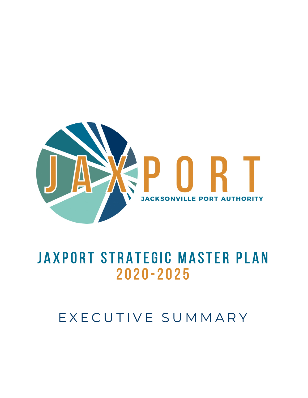

# JAXPORT STRATEGIC MASTER PLAN 2020-2025

## EXECUTIVE SUMMARY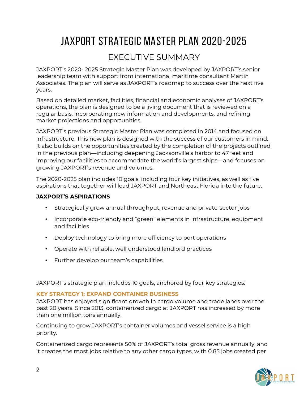## JAXPORT STRATEGIC MASTER PLAN 2020-2025

### EXECUTIVE SUMMARY

JAXPORT's 2020- 2025 Strategic Master Plan was developed by JAXPORT's senior leadership team with support from international maritime consultant Martin Associates. The plan will serve as JAXPORT's roadmap to success over the next five years.

Based on detailed market, facilities, financial and economic analyses of JAXPORT's operations, the plan is designed to be a living document that is reviewed on a regular basis, incorporating new information and developments, and refining market projections and opportunities.

JAXPORT's previous Strategic Master Plan was completed in 2014 and focused on infrastructure. This new plan is designed with the success of our customers in mind. It also builds on the opportunities created by the completion of the projects outlined in the previous plan—including deepening Jacksonville's harbor to 47 feet and improving our facilities to accommodate the world's largest ships—and focuses on growing JAXPORT's revenue and volumes.

The 2020-2025 plan includes 10 goals, including four key initiatives, as well as five aspirations that together will lead JAXPORT and Northeast Florida into the future.

#### **JAXPORT'S ASPIRATIONS**

- Strategically grow annual throughput, revenue and private-sector jobs
- Incorporate eco-friendly and "green" elements in infrastructure, equipment and facilities
- Deploy technology to bring more efficiency to port operations
- Operate with reliable, well understood landlord practices
- Further develop our team's capabilities

JAXPORT's strategic plan includes 10 goals, anchored by four key strategies:

#### **KEY STRATEGY 1: EXPAND CONTAINER BUSINESS**

JAXPORT has enjoyed significant growth in cargo volume and trade lanes over the past 20 years. Since 2013, containerized cargo at JAXPORT has increased by more than one million tons annually.

Continuing to grow JAXPORT's container volumes and vessel service is a high priority.

Containerized cargo represents 50% of JAXPORT's total gross revenue annually, and it creates the most jobs relative to any other cargo types, with 0.85 jobs created per

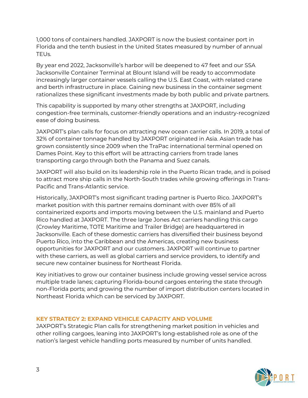1,000 tons of containers handled. JAXPORT is now the busiest container port in Florida and the tenth busiest in the United States measured by number of annual TEUs.

By year end 2022, Jacksonville's harbor will be deepened to 47 feet and our SSA Jacksonville Container Terminal at Blount Island will be ready to accommodate increasingly larger container vessels calling the U.S. East Coast, with related crane and berth infrastructure in place. Gaining new business in the container segment rationalizes these significant investments made by both public and private partners.

This capability is supported by many other strengths at JAXPORT, including congestion-free terminals, customer-friendly operations and an industry-recognized ease of doing business.

JAXPORT's plan calls for focus on attracting new ocean carrier calls. In 2019, a total of 32% of container tonnage handled by JAXPORT originated in Asia. Asian trade has grown consistently since 2009 when the TraPac international terminal opened on Dames Point. Key to this effort will be attracting carriers from trade lanes transporting cargo through both the Panama and Suez canals.

JAXPORT will also build on its leadership role in the Puerto Rican trade, and is poised to attract more ship calls in the North-South trades while growing offerings in Trans-Pacific and Trans-Atlantic service.

Historically, JAXPORT's most significant trading partner is Puerto Rico. JAXPORT's market position with this partner remains dominant with over 85% of all containerized exports and imports moving between the U.S. mainland and Puerto Rico handled at JAXPORT. The three large Jones Act carriers handling this cargo (Crowley Maritime, TOTE Maritime and Trailer Bridge) are headquartered in Jacksonville. Each of these domestic carriers has diversified their business beyond Puerto Rico, into the Caribbean and the Americas, creating new business opportunities for JAXPORT and our customers. JAXPORT will continue to partner with these carriers, as well as global carriers and service providers, to identify and secure new container business for Northeast Florida.

Key initiatives to grow our container business include growing vessel service across multiple trade lanes; capturing Florida-bound cargoes entering the state through non-Florida ports; and growing the number of import distribution centers located in Northeast Florida which can be serviced by JAXPORT.

#### **KEY STRATEGY 2: EXPAND VEHICLE CAPACITY AND VOLUME**

JAXPORT's Strategic Plan calls for strengthening market position in vehicles and other rolling cargoes, leaning into JAXPORT's long-established role as one of the nation's largest vehicle handling ports measured by number of units handled.

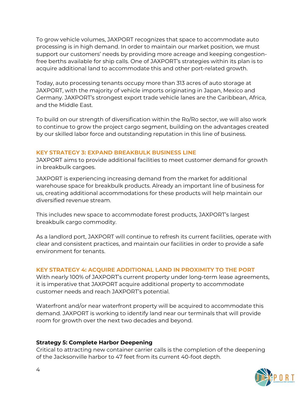To grow vehicle volumes, JAXPORT recognizes that space to accommodate auto processing is in high demand. In order to maintain our market position, we must support our customers' needs by providing more acreage and keeping congestionfree berths available for ship calls. One of JAXPORT's strategies within its plan is to acquire additional land to accommodate this and other port-related growth.

Today, auto processing tenants occupy more than 313 acres of auto storage at JAXPORT, with the majority of vehicle imports originating in Japan, Mexico and Germany. JAXPORT's strongest export trade vehicle lanes are the Caribbean, Africa, and the Middle East.

To build on our strength of diversification within the Ro/Ro sector, we will also work to continue to grow the project cargo segment, building on the advantages created by our skilled labor force and outstanding reputation in this line of business.

#### **KEY STRATEGY 3: EXPAND BREAKBULK BUSINESS LINE**

JAXPORT aims to provide additional facilities to meet customer demand for growth in breakbulk cargoes.

JAXPORT is experiencing increasing demand from the market for additional warehouse space for breakbulk products. Already an important line of business for us, creating additional accommodations for these products will help maintain our diversified revenue stream.

This includes new space to accommodate forest products, JAXPORT's largest breakbulk cargo commodity.

As a landlord port, JAXPORT will continue to refresh its current facilities, operate with clear and consistent practices, and maintain our facilities in order to provide a safe environment for tenants.

#### **KEY STRATEGY 4: ACQUIRE ADDITIONAL LAND IN PROXIMITY TO THE PORT**

With nearly 100% of JAXPORT's current property under long-term lease agreements, it is imperative that JAXPORT acquire additional property to accommodate customer needs and reach JAXPORT's potential.

Waterfront and/or near waterfront property will be acquired to accommodate this demand. JAXPORT is working to identify land near our terminals that will provide room for growth over the next two decades and beyond.

#### **Strategy 5: Complete Harbor Deepening**

Critical to attracting new container carrier calls is the completion of the deepening of the Jacksonville harbor to 47 feet from its current 40-foot depth.

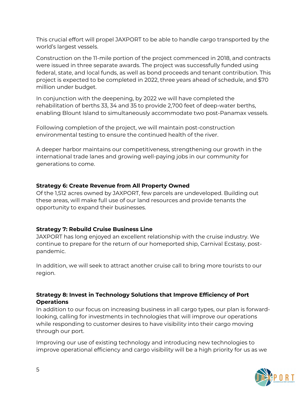This crucial effort will propel JAXPORT to be able to handle cargo transported by the world's largest vessels.

Construction on the 11-mile portion of the project commenced in 2018, and contracts were issued in three separate awards. The project was successfully funded using federal, state, and local funds, as well as bond proceeds and tenant contribution. This project is expected to be completed in 2022, three years ahead of schedule, and \$70 million under budget.

In conjunction with the deepening, by 2022 we will have completed the rehabilitation of berths 33, 34 and 35 to provide 2,700 feet of deep-water berths, enabling Blount Island to simultaneously accommodate two post-Panamax vessels.

Following completion of the project, we will maintain post-construction environmental testing to ensure the continued health of the river.

A deeper harbor maintains our competitiveness, strengthening our growth in the international trade lanes and growing well-paying jobs in our community for generations to come.

#### **Strategy 6: Create Revenue from All Property Owned**

Of the 1,512 acres owned by JAXPORT, few parcels are undeveloped. Building out these areas, will make full use of our land resources and provide tenants the opportunity to expand their businesses.

#### **Strategy 7: Rebuild Cruise Business Line**

JAXPORT has long enjoyed an excellent relationship with the cruise industry. We continue to prepare for the return of our homeported ship, Carnival Ecstasy, postpandemic.

In addition, we will seek to attract another cruise call to bring more tourists to our region.

#### **Strategy 8: Invest in Technology Solutions that Improve Efficiency of Port Operations**

In addition to our focus on increasing business in all cargo types, our plan is forwardlooking, calling for investments in technologies that will improve our operations while responding to customer desires to have visibility into their cargo moving through our port.

Improving our use of existing technology and introducing new technologies to improve operational efficiency and cargo visibility will be a high priority for us as we

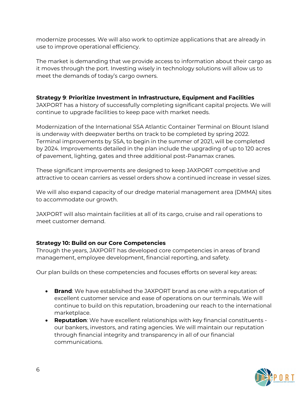modernize processes. We will also work to optimize applications that are already in use to improve operational efficiency.

The market is demanding that we provide access to information about their cargo as it moves through the port. Investing wisely in technology solutions will allow us to meet the demands of today's cargo owners.

#### **Strategy 9**: **Prioritize Investment in Infrastructure, Equipment and Facilities**

JAXPORT has a history of successfully completing significant capital projects. We will continue to upgrade facilities to keep pace with market needs.

Modernization of the International SSA Atlantic Container Terminal on Blount Island is underway with deepwater berths on track to be completed by spring 2022. Terminal improvements by SSA, to begin in the summer of 2021, will be completed by 2024. Improvements detailed in the plan include the upgrading of up to 120 acres of pavement, lighting, gates and three additional post-Panamax cranes.

These significant improvements are designed to keep JAXPORT competitive and attractive to ocean carriers as vessel orders show a continued increase in vessel sizes.

We will also expand capacity of our dredge material management area (DMMA) sites to accommodate our growth.

JAXPORT will also maintain facilities at all of its cargo, cruise and rail operations to meet customer demand.

#### **Strategy 10: Build on our Core Competencies**

Through the years, JAXPORT has developed core competencies in areas of brand management, employee development, financial reporting, and safety.

Our plan builds on these competencies and focuses efforts on several key areas:

- **Brand**: We have established the JAXPORT brand as one with a reputation of excellent customer service and ease of operations on our terminals. We will continue to build on this reputation, broadening our reach to the international marketplace.
- **Reputation**: We have excellent relationships with key financial constituents our bankers, investors, and rating agencies. We will maintain our reputation through financial integrity and transparency in all of our financial communications.